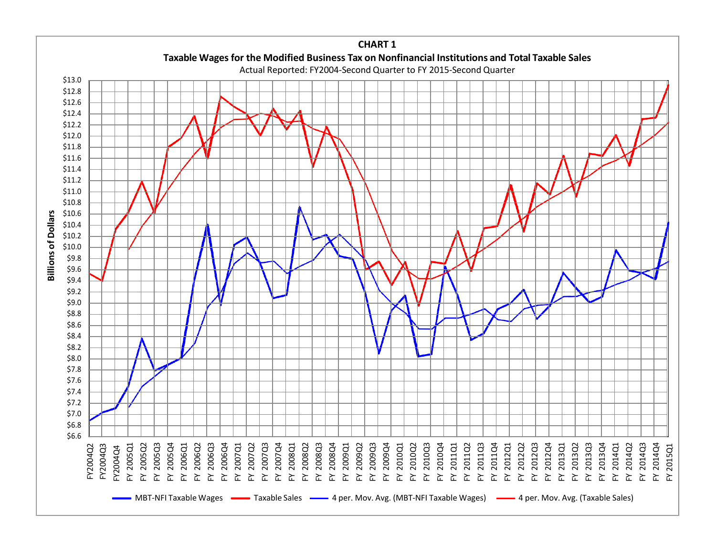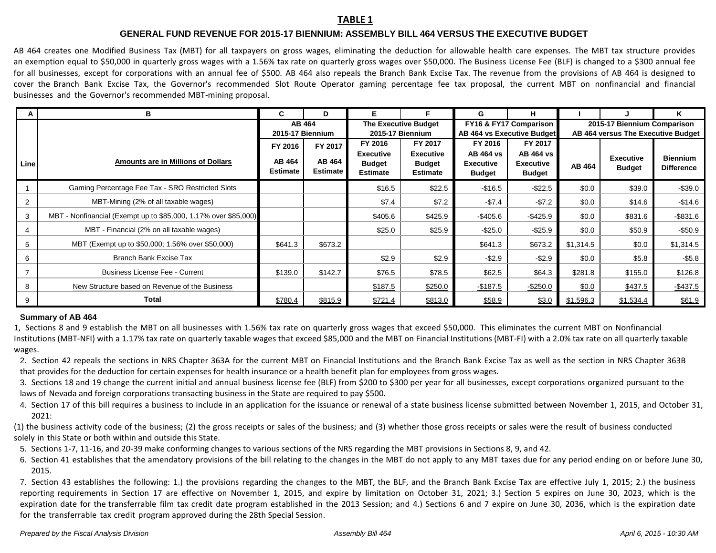## **TABLE 1**

## **GENERAL FUND REVENUE FOR 2015-17 BIENNIUM: ASSEMBLY BILL 464 VERSUS THE EXECUTIVE BUDGET**

AB 464 creates one Modified Business Tax (MBT) for all taxpayers on gross wages, eliminating the deduction for allowable health care expenses. The MBT tax structure provides an exemption equal to \$50,000 in quarterly gross wages with a 1.56% tax rate on quarterly gross wages over \$50,000. The Business License Fee (BLF) is changed to a \$300 annual fee for all businesses, except for corporations with an annual fee of \$500. AB 464 also repeals the Branch Bank Excise Tax. The revenue from the provisions of AB 464 is designed to cover the Branch Bank Excise Tax, the Governor's recommended Slot Route Operator gaming percentage fee tax proposal, the current MBT on nonfinancial and financial businesses and the Governor's recommended MBT-mining proposal.

|                | в                                                               | C.                                   | D                         | E.                                                   |                                               | G                                                     | н                                                     |                             |                                   | ĸ                                    |
|----------------|-----------------------------------------------------------------|--------------------------------------|---------------------------|------------------------------------------------------|-----------------------------------------------|-------------------------------------------------------|-------------------------------------------------------|-----------------------------|-----------------------------------|--------------------------------------|
|                |                                                                 | AB 464                               |                           | <b>The Executive Budget</b>                          |                                               | <b>FY16 &amp; FY17 Comparison</b>                     |                                                       | 2015-17 Biennium Comparison |                                   |                                      |
|                |                                                                 | 2015-17 Biennium<br>2015-17 Biennium |                           | AB 464 vs Executive Budget                           |                                               | AB 464 versus The Executive Budget                    |                                                       |                             |                                   |                                      |
|                |                                                                 | FY 2016                              | FY 2017                   | FY 2016                                              | FY 2017                                       | FY 2016                                               | FY 2017                                               |                             |                                   |                                      |
| Line           | <b>Amounts are in Millions of Dollars</b>                       | AB 464<br><b>Estimate</b>            | AB 464<br><b>Estimate</b> | <b>Executive</b><br><b>Budget</b><br><b>Estimate</b> | <b>Executive</b><br><b>Budget</b><br>Estimate | <b>AB 464 vs</b><br><b>Executive</b><br><b>Budget</b> | <b>AB 464 vs</b><br><b>Executive</b><br><b>Budget</b> | AB 464                      | <b>Executive</b><br><b>Budget</b> | <b>Biennium</b><br><b>Difference</b> |
|                | Gaming Percentage Fee Tax - SRO Restricted Slots                |                                      |                           | \$16.5                                               | \$22.5                                        | $-$16.5$                                              | $-$ \$22.5                                            | \$0.0\$                     | \$39.0                            | $-$ \$39.0                           |
| $\overline{2}$ | MBT-Mining (2% of all taxable wages)                            |                                      |                           | \$7.4                                                | \$7.2                                         | $-\$7.4$                                              | $-$7.2$                                               | \$0.0\$                     | \$14.6                            | $-$14.6$                             |
| 3              | MBT - Nonfinancial (Exempt up to \$85,000, 1.17% over \$85,000) |                                      |                           | \$405.6                                              | \$425.9                                       | $-$ \$405.6                                           | $-$ \$425.9                                           | \$0.0\$                     | \$831.6                           | $-$ \$831.6                          |
|                | MBT - Financial (2% on all taxable wages)                       |                                      |                           | \$25.0                                               | \$25.9                                        | $-$ \$25.0                                            | $-$ \$25.9                                            | \$0.0                       | \$50.9                            | $-$50.9$                             |
| 5              | MBT (Exempt up to \$50,000; 1.56% over \$50,000)                | \$641.3                              | \$673.2                   |                                                      |                                               | \$641.3                                               | \$673.2                                               | \$1,314.5                   | \$0.0                             | \$1,314.5                            |
| 6              | Branch Bank Excise Tax                                          |                                      |                           | \$2.9                                                | \$2.9                                         | $-$ \$2.9                                             | $-$ \$2.9                                             | \$0.0                       | \$5.8                             | $-$ \$5.8                            |
| $\overline{7}$ | <b>Business License Fee - Current</b>                           | \$139.0                              | \$142.7                   | \$76.5                                               | \$78.5                                        | \$62.5                                                | \$64.3                                                | \$281.8                     | \$155.0                           | \$126.8                              |
| 8              | New Structure based on Revenue of the Business                  |                                      |                           | \$187.5                                              | \$250.0                                       | $-$ \$187.5                                           | $-$ \$250.0                                           | \$0.0                       | \$437.5                           | $-$437.5$                            |
| 9              | Total                                                           | \$780.4                              | \$815.9                   | \$721.4                                              | \$813.0                                       | \$58.9                                                | \$3.0                                                 | \$1.596.3                   | \$1.534.4                         | \$61.9                               |

#### **Summary of AB 464**

1, Sections 8 and 9 establish the MBT on all businesses with 1.56% tax rate on quarterly gross wages that exceed \$50,000. This eliminates the current MBT on Nonfinancial Institutions (MBT-NFI) with a 1.17% tax rate on quarterly taxable wages that exceed \$85,000 and the MBT on Financial Institutions (MBT-FI) with a 2.0% tax rate on all quarterly taxable wages.

- 2. Section 42 repeals the sections in NRS Chapter 363A for the current MBT on Financial Institutions and the Branch Bank Excise Tax as well as the section in NRS Chapter 363B that provides for the deduction for certain expenses for health insurance or a health benefit plan for employees from gross wages.
- 3. Sections 18 and 19 change the current initial and annual business license fee (BLF) from \$200 to \$300 per year for all businesses, except corporations organized pursuant to the laws of Nevada and foreign corporations transacting business in the State are required to pay \$500.
- 4. Section 17 of this bill requires a business to include in an application for the issuance or renewal of a state business license submitted between November 1, 2015, and October 31, 2021:

(1) the business activity code of the business; (2) the gross receipts or sales of the business; and (3) whether those gross receipts or sales were the result of business conducted solely in this State or both within and outside this State.

- 5. Sections 1-7, 11-16, and 20-39 make conforming changes to various sections of the NRS regarding the MBT provisions in Sections 8, 9, and 42.
- 6. Section 41 establishes that the amendatory provisions of the bill relating to the changes in the MBT do not apply to any MBT taxes due for any period ending on or before June 30, 2015.

7. Section 43 establishes the following: 1.) the provisions regarding the changes to the MBT, the BLF, and the Branch Bank Excise Tax are effective July 1, 2015; 2.) the business reporting requirements in Section 17 are effective on November 1, 2015, and expire by limitation on October 31, 2021; 3.) Section 5 expires on June 30, 2023, which is the expiration date for the transferrable film tax credit date program established in the 2013 Session; and 4.) Sections 6 and 7 expire on June 30, 2036, which is the expiration date for the transferrable tax credit program approved during the 28th Special Session.